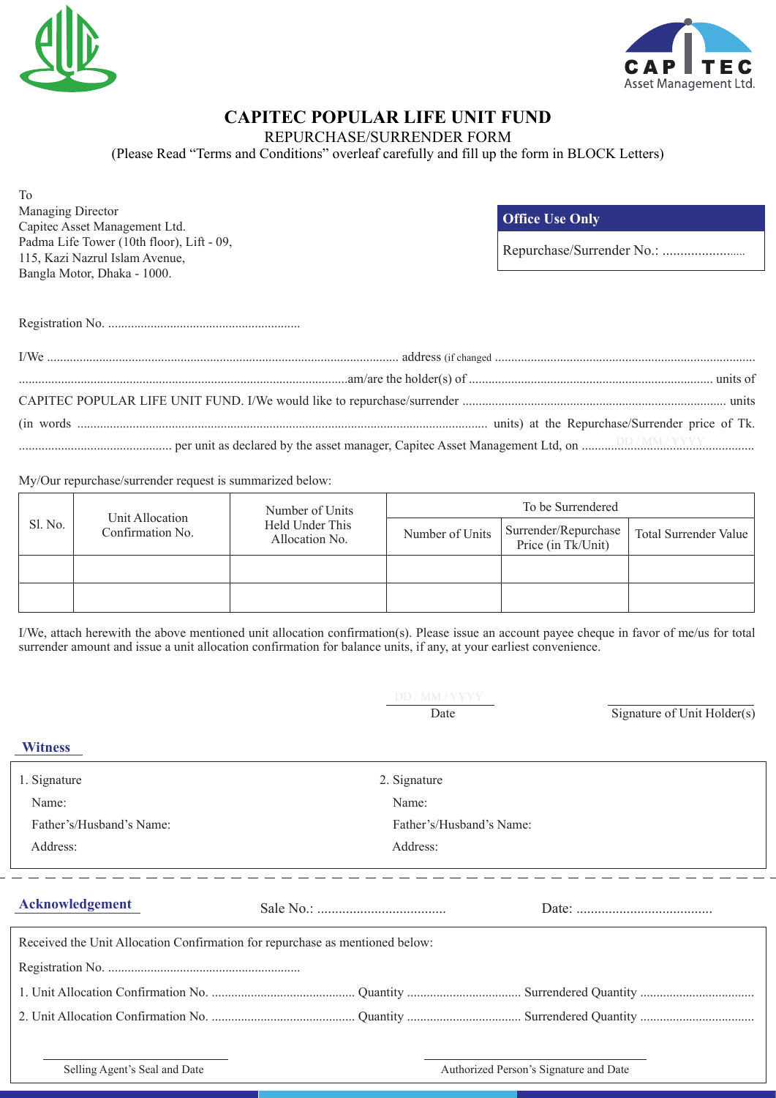



## **CAPITEC POPULAR LIFE UNIT FUND**

REPURCHASE/SURRENDER FORM

(Please Read "Terms and Conditions" overleaf carefully and fill up the form in BLOCK Letters)

To Managing Director Capitec Asset Management Ltd. Padma Life Tower (10th floor), Lift - 09, 115, Kazi Nazrul Islam Avenue, Bangla Motor, Dhaka - 1000.

## **Office Use Only**

Repurchase/Surrender No.: ........................

My/Our repurchase/surrender request is summarized below:

| Sl. No. | Unit Allocation<br>Confirmation No. | Number of Units<br>Held Under This<br>Allocation No. | To be Surrendered |                                            |                       |
|---------|-------------------------------------|------------------------------------------------------|-------------------|--------------------------------------------|-----------------------|
|         |                                     |                                                      | Number of Units   | Surrender/Repurchase<br>Price (in Tk/Unit) | Total Surrender Value |
|         |                                     |                                                      |                   |                                            |                       |
|         |                                     |                                                      |                   |                                            |                       |

I/We, attach herewith the above mentioned unit allocation confirmation(s). Please issue an account payee cheque in favor of me/us for total surrender amount and issue a unit allocation confirmation for balance units, if any, at your earliest convenience.

Date Signature of Unit Holder(s)

| <b>Witness</b>                                                               |              |                                        |  |  |  |
|------------------------------------------------------------------------------|--------------|----------------------------------------|--|--|--|
| 1. Signature                                                                 | 2. Signature |                                        |  |  |  |
| Name:                                                                        | Name:        |                                        |  |  |  |
| Father's/Husband's Name:                                                     |              | Father's/Husband's Name:               |  |  |  |
| Address:                                                                     | Address:     |                                        |  |  |  |
|                                                                              |              |                                        |  |  |  |
| Acknowledgement                                                              |              |                                        |  |  |  |
| Received the Unit Allocation Confirmation for repurchase as mentioned below: |              |                                        |  |  |  |
|                                                                              |              |                                        |  |  |  |
|                                                                              |              |                                        |  |  |  |
|                                                                              |              |                                        |  |  |  |
|                                                                              |              |                                        |  |  |  |
| Selling Agent's Seal and Date                                                |              | Authorized Person's Signature and Date |  |  |  |